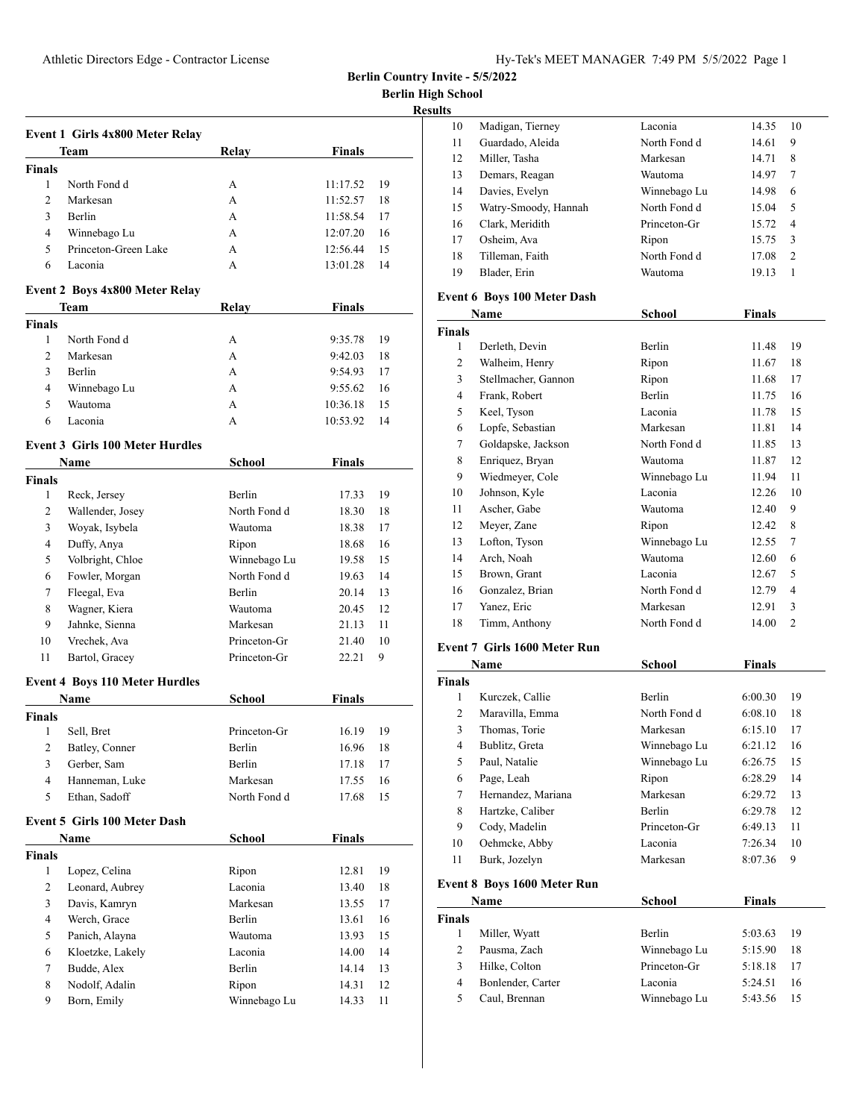**Berlin High School**

| o<br>м<br>- 1<br>יי |
|---------------------|
|                     |

|                | Event 1 Girls 4x800 Meter Relay        |               |               |    |
|----------------|----------------------------------------|---------------|---------------|----|
|                | Team                                   | Relay         | <b>Finals</b> |    |
| <b>Finals</b>  |                                        |               |               |    |
| 1              | North Fond d                           | A             | 11:17.52      | 19 |
| $\overline{c}$ | Markesan                               | A             | 11:52.57      | 18 |
| 3              | Berlin                                 | A             | 11:58.54      | 17 |
| 4              | Winnebago Lu                           | A             | 12:07.20      | 16 |
| 5              | Princeton-Green Lake                   | A             | 12:56.44      | 15 |
| 6              | Laconia                                | A             | 13:01.28      | 14 |
|                | <b>Event 2 Boys 4x800 Meter Relay</b>  |               |               |    |
|                | Team                                   | Relay         | <b>Finals</b> |    |
| <b>Finals</b>  |                                        |               |               |    |
| 1              | North Fond d                           | A             | 9:35.78       | 19 |
| $\overline{c}$ | Markesan                               | A             | 9:42.03       | 18 |
| 3              | Berlin                                 | A             | 9:54.93       | 17 |
| 4              | Winnebago Lu                           | А             | 9:55.62       | 16 |
| 5              | Wautoma                                | A             | 10:36.18      | 15 |
| 6              | Laconia                                | A             | 10:53.92      | 14 |
|                | <b>Event 3 Girls 100 Meter Hurdles</b> |               |               |    |
|                | Name                                   | <b>School</b> | <b>Finals</b> |    |
| <b>Finals</b>  |                                        |               |               |    |
| 1              | Reck, Jersey                           | Berlin        | 17.33         | 19 |
| 2              | Wallender, Josey                       | North Fond d  | 18.30         | 18 |
| 3              | Woyak, Isybela                         | Wautoma       | 18.38         | 17 |
| $\overline{4}$ | Duffy, Anya                            | Ripon         | 18.68         | 16 |
| 5              | Volbright, Chloe                       | Winnebago Lu  | 19.58         | 15 |
| 6              | Fowler, Morgan                         | North Fond d  | 19.63         | 14 |
| 7              | Fleegal, Eva                           | Berlin        | 20.14         | 13 |
| 8              | Wagner, Kiera                          | Wautoma       | 20.45         | 12 |
| 9              | Jahnke, Sienna                         | Markesan      | 21.13         | 11 |
| 10             | Vrechek, Ava                           | Princeton-Gr  | 21.40         | 10 |
| 11             | Bartol, Gracey                         | Princeton-Gr  | 22.21         | 9  |
|                | <b>Event 4 Boys 110 Meter Hurdles</b>  |               |               |    |
|                | Name                                   | <b>School</b> | Finals        |    |
| <b>Finals</b>  |                                        |               |               |    |
| 1              | Sell, Bret                             | Princeton-Gr  | 16.19         | 19 |
| 2              | Batley, Conner                         | Berlin        | 16.96         | 18 |
| 3              | Gerber, Sam                            | Berlin        | 17.18         | 17 |
| $\overline{4}$ | Hanneman, Luke                         | Markesan      | 17.55         | 16 |
| 5              | Ethan, Sadoff                          | North Fond d  | 17.68         | 15 |
|                | <b>Event 5 Girls 100 Meter Dash</b>    |               |               |    |
|                | <b>Name</b>                            | School        | <b>Finals</b> |    |
| <b>Finals</b>  |                                        |               |               |    |
| 1              | Lopez, Celina                          | Ripon         | 12.81         | 19 |
| 2              | Leonard, Aubrey                        | Laconia       | 13.40         | 18 |
| 3              | Davis, Kamryn                          | Markesan      | 13.55         | 17 |
| 4              | Werch, Grace                           | Berlin        | 13.61         | 16 |
| 5              | Panich, Alayna                         | Wautoma       | 13.93         | 15 |
|                | Kloetzke, Lakely                       | Laconia       | 14.00         | 14 |
| 6              |                                        |               |               |    |
| 7              | Budde, Alex                            | Berlin        | 14.14         | 13 |
| 8              | Nodolf, Adalin                         | Ripon         | 14.31         | 12 |

| 10 | Madigan, Tierney     | Laconia      | 14.35 | 10             |  |
|----|----------------------|--------------|-------|----------------|--|
| 11 | Guardado, Aleida     | North Fond d | 14.61 | 9              |  |
| 12 | Miller, Tasha        | Markesan     | 14.71 | 8              |  |
| 13 | Demars, Reagan       | Wautoma      | 14.97 | 7              |  |
| 14 | Davies, Evelyn       | Winnebago Lu | 14.98 | 6              |  |
| 15 | Watry-Smoody, Hannah | North Fond d | 15.04 | 5              |  |
| 16 | Clark, Meridith      | Princeton-Gr | 15.72 | $\overline{4}$ |  |
| 17 | Osheim, Ava          | Ripon        | 15.75 | 3              |  |
| 18 | Tilleman, Faith      | North Fond d | 17.08 | $\overline{c}$ |  |
| 19 | Blader, Erin         | Wautoma      | 19.13 |                |  |
|    |                      |              |       |                |  |

# **Event 6 Boys 100 Meter Dash**

|                | Name                | School       | Finals |                |
|----------------|---------------------|--------------|--------|----------------|
| <b>Finals</b>  |                     |              |        |                |
| 1              | Derleth, Devin      | Berlin       | 11.48  | 19             |
| 2              | Walheim, Henry      | Ripon        | 11.67  | 18             |
| 3              | Stellmacher, Gannon | Ripon        | 11.68  | 17             |
| $\overline{4}$ | Frank, Robert       | Berlin       | 11.75  | 16             |
| 5              | Keel, Tyson         | Laconia      | 11.78  | 15             |
| 6              | Lopfe, Sebastian    | Markesan     | 11.81  | 14             |
| 7              | Goldapske, Jackson  | North Fond d | 11.85  | 13             |
| 8              | Enriquez, Bryan     | Wautoma      | 11.87  | 12             |
| 9              | Wiedmeyer, Cole     | Winnebago Lu | 11.94  | 11             |
| 10             | Johnson, Kyle       | Laconia      | 12.26  | 10             |
| 11             | Ascher, Gabe        | Wautoma      | 12.40  | 9              |
| 12             | Meyer, Zane         | Ripon        | 12.42  | 8              |
| 13             | Lofton, Tyson       | Winnebago Lu | 12.55  | 7              |
| 14             | Arch, Noah          | Wautoma      | 12.60  | 6              |
| 15             | Brown, Grant        | Laconia      | 12.67  | 5              |
| 16             | Gonzalez, Brian     | North Fond d | 12.79  | 4              |
| 17             | Yanez, Eric         | Markesan     | 12.91  | 3              |
| 18             | Timm, Anthony       | North Fond d | 14.00  | $\overline{2}$ |

### **Event 7 Girls 1600 Meter Run**

|                | Name                               | School        | Finals  |    |
|----------------|------------------------------------|---------------|---------|----|
| <b>Finals</b>  |                                    |               |         |    |
| 1              | Kurczek, Callie                    | <b>Berlin</b> | 6:00.30 | 19 |
| 2              | Maravilla, Emma                    | North Fond d  | 6:08.10 | 18 |
| 3              | Thomas, Torie                      | Markesan      | 6:15.10 | 17 |
| 4              | Bublitz, Greta                     | Winnebago Lu  | 6:21.12 | 16 |
| 5              | Paul, Natalie                      | Winnebago Lu  | 6:26.75 | 15 |
| 6              | Page, Leah                         | Ripon         | 6:28.29 | 14 |
| 7              | Hernandez, Mariana                 | Markesan      | 6:29.72 | 13 |
| 8              | Hartzke, Caliber                   | <b>Berlin</b> | 6:29.78 | 12 |
| 9              | Cody, Madelin                      | Princeton-Gr  | 6:49.13 | 11 |
| 10             | Oehmcke, Abby                      | Laconia       | 7:26.34 | 10 |
| 11             | Burk, Jozelyn                      | Markesan      | 8:07.36 | 9  |
|                | <b>Event 8 Boys 1600 Meter Run</b> |               |         |    |
|                | Name                               | School        | Finals  |    |
| <b>Finals</b>  |                                    |               |         |    |
| 1              | Miller, Wyatt                      | <b>Berlin</b> | 5:03.63 | 19 |
| $\overline{c}$ | Pausma, Zach                       | Winnebago Lu  | 5:15.90 | 18 |
| 3              | Hilke, Colton                      | Princeton-Gr  | 5:18.18 | 17 |
| 4              | Bonlender, Carter                  | Laconia       | 5:24.51 | 16 |
| 5              | Caul, Brennan                      | Winnebago Lu  | 5:43.56 | 15 |
|                |                                    |               |         |    |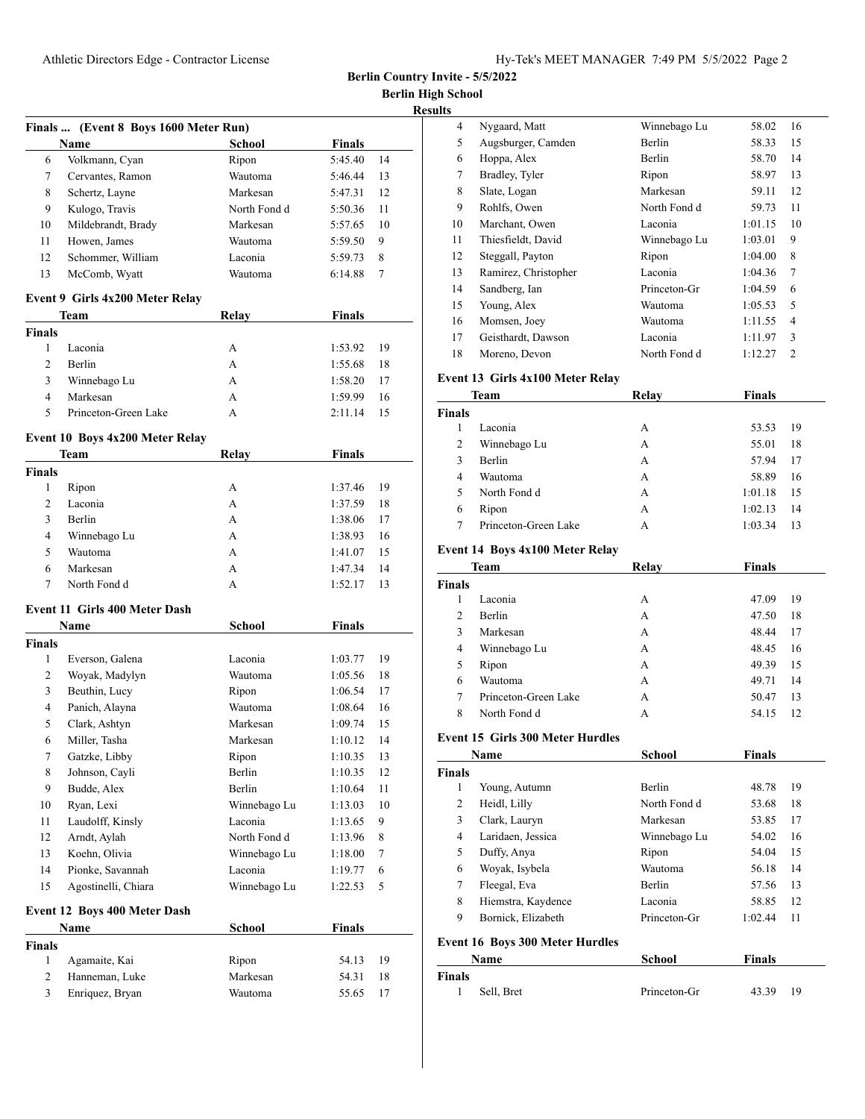**Berlin High School**

| <b>Results</b> |
|----------------|
|                |

|                | Finals  (Event 8 Boys 1600 Meter Run) |               |               |    |
|----------------|---------------------------------------|---------------|---------------|----|
|                | Name                                  | <b>School</b> | <b>Finals</b> |    |
| 6              | Volkmann, Cyan                        | Ripon         | 5:45.40       | 14 |
| 7              | Cervantes, Ramon                      | Wautoma       | 5:46.44       | 13 |
| 8              | Schertz, Layne                        | Markesan      | 5:47.31       | 12 |
| 9              | Kulogo, Travis                        | North Fond d  | 5:50.36       | 11 |
| 10             | Mildebrandt, Brady                    | Markesan      | 5:57.65       | 10 |
| 11             | Howen, James                          | Wautoma       | 5:59.50       | 9  |
| 12             | Schommer, William                     | Laconia       | 5:59.73       | 8  |
| 13             | McComb, Wyatt                         | Wautoma       | 6:14.88       | 7  |
|                | Event 9 Girls 4x200 Meter Relay       |               |               |    |
|                | Team                                  | Relay         | <b>Finals</b> |    |
| <b>Finals</b>  |                                       |               |               |    |
| 1              | Laconia                               | А             | 1:53.92       | 19 |
| $\overline{c}$ | Berlin                                | A             | 1:55.68       | 18 |
| 3              | Winnebago Lu                          | A             | 1:58.20       | 17 |
| 4              | Markesan                              | А             | 1:59.99       | 16 |
| 5              | Princeton-Green Lake                  | A             | 2:11.14       | 15 |
|                | Event 10 Boys 4x200 Meter Relay       |               |               |    |
|                | Team                                  | Relay         | <b>Finals</b> |    |
| <b>Finals</b>  |                                       |               |               |    |
| 1              | Ripon                                 | A             | 1:37.46       | 19 |
| 2              | Laconia                               | A             | 1:37.59       | 18 |
| 3              | Berlin                                | A             | 1:38.06       | 17 |
| 4              | Winnebago Lu                          | A             | 1:38.93       | 16 |
| 5              | Wautoma                               | A             | 1:41.07       | 15 |
| 6              | Markesan                              | А             | 1:47.34       | 14 |
| 7              | North Fond d                          | A             | 1:52.17       | 13 |
|                | <b>Event 11 Girls 400 Meter Dash</b>  |               |               |    |
|                | Name                                  | <b>School</b> | <b>Finals</b> |    |
| <b>Finals</b>  |                                       |               |               |    |
| 1              | Everson, Galena                       | Laconia       | 1:03.77       | 19 |
| 2              | Woyak, Madylyn                        | Wautoma       | 1:05.56       | 18 |
| 3              | Beuthin, Lucy                         | Ripon         | 1:06.54       | 17 |
| 4              | Panich, Alayna                        | Wautoma       | 1:08.64       | 16 |
| 5              | Clark, Ashtyn                         | Markesan      | 1:09.74       | 15 |
| 6              | Miller, Tasha                         | Markesan      | 1:10.12       | 14 |
| $\tau$         | Gatzke, Libby                         | Ripon         | 1:10.35       | 13 |
| 8              | Johnson, Cayli                        | Berlin        | 1:10.35       | 12 |
| 9              | Budde, Alex                           | Berlin        | 1:10.64       | 11 |
| 10             | Ryan, Lexi                            | Winnebago Lu  | 1:13.03       | 10 |
| 11             | Laudolff, Kinsly                      | Laconia       | 1:13.65       | 9  |
| 12             | Arndt, Aylah                          | North Fond d  | 1:13.96       | 8  |
| 13             | Koehn, Olivia                         | Winnebago Lu  | 1:18.00       | 7  |
| 14             | Pionke, Savannah                      | Laconia       | 1:19.77       | 6  |
| 15             | Agostinelli, Chiara                   | Winnebago Lu  | 1:22.53       | 5  |
|                | Event 12 Boys 400 Meter Dash          |               |               |    |
|                | Name                                  | <b>School</b> | <b>Finals</b> |    |
| <b>Finals</b>  |                                       |               |               |    |
| 1              | Agamaite, Kai                         | Ripon         | 54.13         | 19 |
| $\overline{c}$ | Hanneman, Luke                        | Markesan      | 54.31         | 18 |
| 3              | Enriquez, Bryan                       | Wautoma       | 55.65         | 17 |

| s  |                      |              |         |                |  |
|----|----------------------|--------------|---------|----------------|--|
| 4  | Nygaard, Matt        | Winnebago Lu | 58.02   | 16             |  |
| 5  | Augsburger, Camden   | Berlin       | 58.33   | 15             |  |
| 6  | Hoppa, Alex          | Berlin       | 58.70   | 14             |  |
| 7  | Bradley, Tyler       | Ripon        | 58.97   | 13             |  |
| 8  | Slate, Logan         | Markesan     | 59.11   | 12             |  |
| 9  | Rohlfs, Owen         | North Fond d | 59.73   | 11             |  |
| 10 | Marchant, Owen       | Laconia      | 1:01.15 | 10             |  |
| 11 | Thiesfieldt, David   | Winnebago Lu | 1:03.01 | 9              |  |
| 12 | Steggall, Payton     | Ripon        | 1:04.00 | 8              |  |
| 13 | Ramirez, Christopher | Laconia      | 1:04.36 | 7              |  |
| 14 | Sandberg, Ian        | Princeton-Gr | 1:04.59 | 6              |  |
| 15 | Young, Alex          | Wautoma      | 1:05.53 | 5              |  |
| 16 | Momsen, Joey         | Wautoma      | 1:11.55 | 4              |  |
| 17 | Geisthardt, Dawson   | Laconia      | 1:11.97 | 3              |  |
| 18 | Moreno, Devon        | North Fond d | 1:12.27 | $\overline{c}$ |  |

### **Event 13 Girls 4x100 Meter Relay**

|               | <b>Finals</b><br>Relay<br><b>Team</b> |   |               |  |
|---------------|---------------------------------------|---|---------------|--|
| <b>Finals</b> |                                       |   |               |  |
|               | Laconia                               | А | 53.53<br>19   |  |
| 2             | Winnebago Lu                          | А | 55.01<br>18   |  |
| 3             | <b>Berlin</b>                         | А | 17<br>57.94   |  |
| 4             | Wautoma                               | А | 58.89<br>16   |  |
| 5             | North Fond d                          | А | 1:01.18<br>15 |  |
| 6             | Ripon                                 | А | 1:02.13<br>14 |  |
|               | Princeton-Green Lake                  | А | 1:03.34<br>13 |  |

### **Event 14 Boys 4x100 Meter Relay**

|               | <b>Team</b>          | <b>Finals</b><br>Relay |             |
|---------------|----------------------|------------------------|-------------|
| <b>Finals</b> |                      |                        |             |
|               | Laconia              | А                      | 47.09<br>19 |
| 2             | Berlin               | А                      | 18<br>47.50 |
| 3             | Markesan             | А                      | 17<br>48.44 |
| 4             | Winnebago Lu         | А                      | 16<br>48.45 |
| 5             | Ripon                | А                      | 49.39<br>15 |
| 6             | Wautoma              | А                      | 49.71<br>14 |
| 7             | Princeton-Green Lake | А                      | 13<br>50.47 |
| 8             | North Fond d         | А                      | 12<br>54.15 |

#### **Event 15 Girls 300 Meter Hurdles**

|               | Name                                   | School        | <b>Finals</b> |    |
|---------------|----------------------------------------|---------------|---------------|----|
| <b>Finals</b> |                                        |               |               |    |
| 1             | Young, Autumn                          | <b>Berlin</b> | 48.78         | 19 |
| 2             | Heidl, Lilly                           | North Fond d  | 53.68         | 18 |
| 3             | Clark, Lauryn                          | Markesan      | 53.85         | 17 |
| 4             | Laridaen, Jessica                      | Winnebago Lu  | 54.02         | 16 |
| 5             | Duffy, Anya                            | Ripon         | 54.04         | 15 |
| 6             | Woyak, Isybela                         | Wautoma       | 56.18         | 14 |
| 7             | Fleegal, Eva                           | <b>Berlin</b> | 57.56         | 13 |
| 8             | Hiemstra, Kaydence                     | Laconia       | 58.85         | 12 |
| 9             | Bornick, Elizabeth                     | Princeton-Gr  | 1:02.44       | 11 |
|               | <b>Event 16 Boys 300 Meter Hurdles</b> |               |               |    |
|               | Name                                   | School        | <b>Finals</b> |    |

| Finals |            |              |       |    |
|--------|------------|--------------|-------|----|
|        | Sell, Bret | Princeton-Gr | 43.39 | 19 |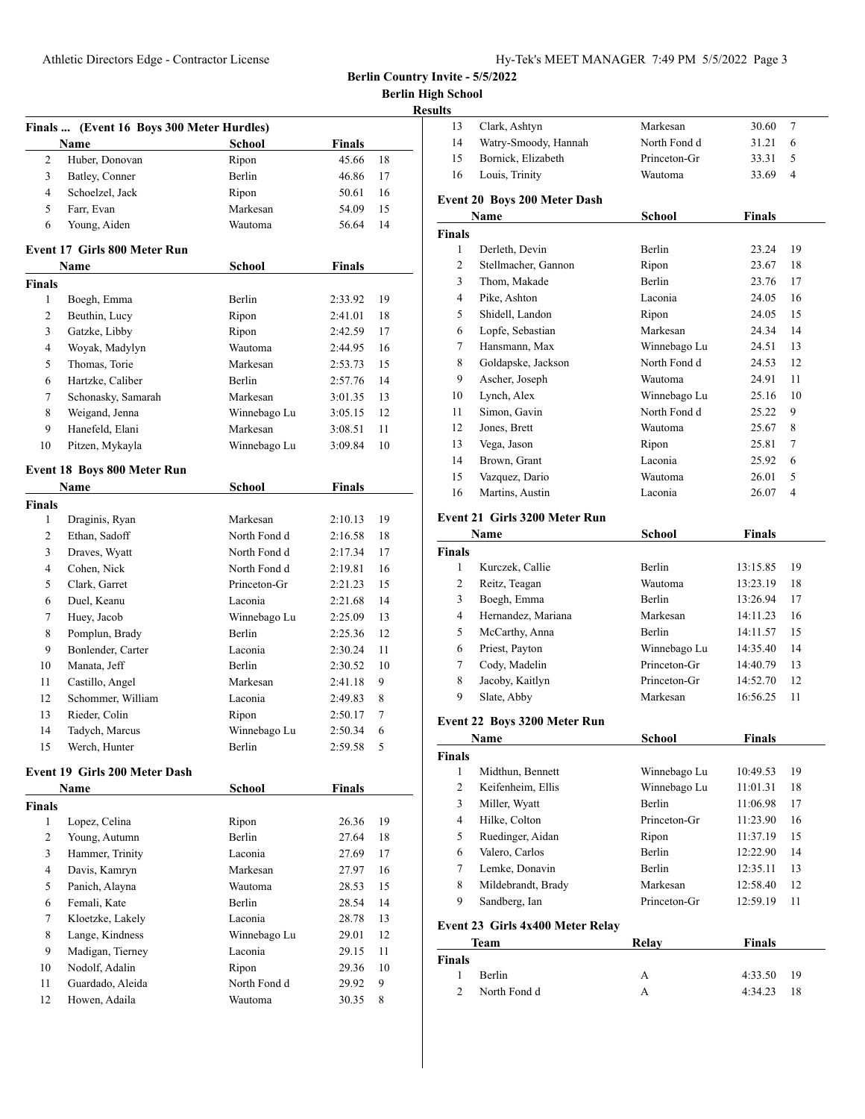| Hy-Tek's MEET MANAGER  7:49 PM  5/5/2022  Page 3 |  |  |  |
|--------------------------------------------------|--|--|--|
|--------------------------------------------------|--|--|--|

**School** 

|                         | Finals  (Event 16 Boys 300 Meter Hurdles) |                         |               | <b>Results</b> |
|-------------------------|-------------------------------------------|-------------------------|---------------|----------------|
|                         | Name                                      | School                  | Finals        |                |
| $\overline{2}$          | Huber, Donovan                            | Ripon                   | 45.66         | 18             |
| 3                       | Batley, Conner                            | Berlin                  | 46.86         | 17             |
| 4                       | Schoelzel, Jack                           | Ripon                   | 50.61         | 16             |
| 5                       | Farr, Evan                                | Markesan                | 54.09         | 15             |
| 6                       | Young, Aiden                              | Wautoma                 | 56.64         | 14             |
|                         | <b>Event 17 Girls 800 Meter Run</b>       |                         |               |                |
|                         | Name                                      | School                  | Finals        |                |
| <b>Finals</b>           |                                           |                         |               |                |
| $\mathbf{1}$            | Boegh, Emma                               | Berlin                  | 2:33.92       | 19             |
| 2                       | Beuthin, Lucy                             | Ripon                   | 2:41.01       | 18             |
| $\overline{\mathbf{3}}$ | Gatzke, Libby                             | Ripon                   | 2:42.59       | 17             |
| 4                       | Woyak, Madylyn                            | Wautoma                 | 2:44.95       | 16             |
| 5                       | Thomas, Torie                             | Markesan                | 2:53.73       | 15             |
| 6                       | Hartzke, Caliber                          | Berlin                  | 2:57.76       | 14             |
| 7                       | Schonasky, Samarah                        | Markesan                | 3:01.35       | 13             |
| 8                       | Weigand, Jenna                            | Winnebago Lu            | 3:05.15       | 12             |
| 9                       | Hanefeld, Elani                           | Markesan                | 3:08.51       | 11             |
| 10                      | Pitzen, Mykayla                           | Winnebago Lu            | 3:09.84       | 10             |
|                         | <b>Event 18 Boys 800 Meter Run</b>        |                         |               |                |
|                         | Name                                      | School                  | <b>Finals</b> |                |
| <b>Finals</b>           |                                           |                         |               |                |
| 1                       | Draginis, Ryan                            | Markesan                | 2:10.13       | 19             |
| 2                       | Ethan, Sadoff                             | North Fond d            | 2:16.58       | 18             |
| 3                       | Draves, Wyatt                             | North Fond d            | 2:17.34       | 17             |
| 4                       | Cohen, Nick                               | North Fond d            | 2:19.81       | 16             |
| 5                       | Clark, Garret                             | Princeton-Gr            | 2:21.23       | 15             |
| 6                       | Duel, Keanu                               | Laconia                 | 2:21.68       | 14             |
| 7                       | Huey, Jacob                               | Winnebago Lu            | 2:25.09       | 13             |
| 8                       | Pomplun, Brady                            | Berlin<br>Laconia       | 2:25.36       | 12             |
| 9                       | Bonlender, Carter                         |                         | 2:30.24       | 11             |
| 10                      | Manata, Jeff                              | Berlin                  | 2:30.52       | 10             |
| 11                      | Castillo, Angel<br>Schommer, William      | Markesan<br>Laconia     | 2:41.18       | 9              |
| 12                      |                                           |                         | 2:49.83       | 8              |
| 13                      | Rieder, Colin                             | Ripon                   | 2:50.17       | 7              |
| 14<br>15                | Tadych, Marcus<br>Werch, Hunter           | Winnebago Lu<br>Berlin  | 2:50.34       | 6<br>5         |
|                         |                                           |                         | 2:59.58       |                |
|                         | Event 19 Girls 200 Meter Dash<br>Name     | School                  | <b>Finals</b> |                |
| <b>Finals</b>           |                                           |                         |               |                |
| 1                       | Lopez, Celina                             | Ripon                   | 26.36         | 19             |
| $\overline{2}$          | Young, Autumn                             | Berlin                  | 27.64         | 18             |
| 3                       | Hammer, Trinity                           | Laconia                 | 27.69         | 17             |
| 4                       | Davis, Kamryn                             | Markesan                | 27.97         | 16             |
| 5                       | Panich, Alayna                            | Wautoma                 | 28.53         | 15             |
| 6                       | Femali, Kate                              | Berlin                  | 28.54         | 14             |
| 7                       | Kloetzke, Lakely                          | Laconia                 | 28.78         | 13             |
| 8                       |                                           |                         |               | 12             |
|                         | Lange, Kindness                           | Winnebago Lu<br>Laconia | 29.01         |                |
| 9                       | Madigan, Tierney                          |                         | 29.15         | 11             |
| 10                      | Nodolf, Adalin                            | Ripon                   | 29.36         | 10             |
| 11                      | Guardado, Aleida                          | North Fond d            | 29.92         | 9              |
| 12                      | Howen, Adaila                             | Wautoma                 | 30.35         | 8              |

| Clark, Ashtyn<br>Watry-Smoody, Hannah<br>Bornick, Elizabeth |                                                                                                                                                                                                                                                                                                                                         |                                                                                                                                                                                            |                                                                                                                                                                                                               |
|-------------------------------------------------------------|-----------------------------------------------------------------------------------------------------------------------------------------------------------------------------------------------------------------------------------------------------------------------------------------------------------------------------------------|--------------------------------------------------------------------------------------------------------------------------------------------------------------------------------------------|---------------------------------------------------------------------------------------------------------------------------------------------------------------------------------------------------------------|
|                                                             | Markesan                                                                                                                                                                                                                                                                                                                                | 30.60                                                                                                                                                                                      | 7                                                                                                                                                                                                             |
|                                                             | North Fond d                                                                                                                                                                                                                                                                                                                            | 31.21                                                                                                                                                                                      | 6                                                                                                                                                                                                             |
|                                                             | Princeton-Gr                                                                                                                                                                                                                                                                                                                            | 33.31                                                                                                                                                                                      | 5                                                                                                                                                                                                             |
| Louis, Trinity                                              | Wautoma                                                                                                                                                                                                                                                                                                                                 | 33.69                                                                                                                                                                                      | 4                                                                                                                                                                                                             |
| Event 20 Boys 200 Meter Dash                                |                                                                                                                                                                                                                                                                                                                                         |                                                                                                                                                                                            |                                                                                                                                                                                                               |
| Name                                                        | <b>School</b>                                                                                                                                                                                                                                                                                                                           | <b>Finals</b>                                                                                                                                                                              |                                                                                                                                                                                                               |
|                                                             |                                                                                                                                                                                                                                                                                                                                         |                                                                                                                                                                                            |                                                                                                                                                                                                               |
| Derleth, Devin                                              | Berlin                                                                                                                                                                                                                                                                                                                                  | 23.24                                                                                                                                                                                      | 19                                                                                                                                                                                                            |
| Stellmacher, Gannon                                         | Ripon                                                                                                                                                                                                                                                                                                                                   | 23.67                                                                                                                                                                                      | 18                                                                                                                                                                                                            |
| Thom, Makade                                                | Berlin                                                                                                                                                                                                                                                                                                                                  | 23.76                                                                                                                                                                                      | 17                                                                                                                                                                                                            |
| Pike, Ashton                                                | Laconia                                                                                                                                                                                                                                                                                                                                 | 24.05                                                                                                                                                                                      | 16                                                                                                                                                                                                            |
| Shidell, Landon                                             | Ripon                                                                                                                                                                                                                                                                                                                                   | 24.05                                                                                                                                                                                      | 15                                                                                                                                                                                                            |
| Lopfe, Sebastian                                            | Markesan                                                                                                                                                                                                                                                                                                                                | 24.34                                                                                                                                                                                      | 14                                                                                                                                                                                                            |
| Hansmann, Max                                               | Winnebago Lu                                                                                                                                                                                                                                                                                                                            | 24.51                                                                                                                                                                                      | 13                                                                                                                                                                                                            |
| Goldapske, Jackson                                          | North Fond d                                                                                                                                                                                                                                                                                                                            | 24.53                                                                                                                                                                                      | 12                                                                                                                                                                                                            |
| Ascher, Joseph                                              | Wautoma                                                                                                                                                                                                                                                                                                                                 | 24.91                                                                                                                                                                                      | 11                                                                                                                                                                                                            |
| Lynch, Alex                                                 | Winnebago Lu                                                                                                                                                                                                                                                                                                                            | 25.16                                                                                                                                                                                      | 10                                                                                                                                                                                                            |
| Simon, Gavin                                                | North Fond d                                                                                                                                                                                                                                                                                                                            | 25.22                                                                                                                                                                                      | 9                                                                                                                                                                                                             |
| Jones, Brett                                                | Wautoma                                                                                                                                                                                                                                                                                                                                 | 25.67                                                                                                                                                                                      | 8                                                                                                                                                                                                             |
| Vega, Jason                                                 | Ripon                                                                                                                                                                                                                                                                                                                                   | 25.81                                                                                                                                                                                      | 7                                                                                                                                                                                                             |
| Brown, Grant                                                | Laconia                                                                                                                                                                                                                                                                                                                                 | 25.92                                                                                                                                                                                      | 6                                                                                                                                                                                                             |
| Vazquez, Dario                                              | Wautoma                                                                                                                                                                                                                                                                                                                                 | 26.01                                                                                                                                                                                      | 5                                                                                                                                                                                                             |
| Martins, Austin                                             | Laconia                                                                                                                                                                                                                                                                                                                                 | 26.07                                                                                                                                                                                      | $\overline{4}$                                                                                                                                                                                                |
| Event 21 Girls 3200 Meter Run                               |                                                                                                                                                                                                                                                                                                                                         |                                                                                                                                                                                            |                                                                                                                                                                                                               |
| Name                                                        | <b>School</b>                                                                                                                                                                                                                                                                                                                           | <b>Finals</b>                                                                                                                                                                              |                                                                                                                                                                                                               |
|                                                             |                                                                                                                                                                                                                                                                                                                                         |                                                                                                                                                                                            |                                                                                                                                                                                                               |
|                                                             |                                                                                                                                                                                                                                                                                                                                         |                                                                                                                                                                                            | 19                                                                                                                                                                                                            |
|                                                             |                                                                                                                                                                                                                                                                                                                                         |                                                                                                                                                                                            | 18                                                                                                                                                                                                            |
|                                                             |                                                                                                                                                                                                                                                                                                                                         |                                                                                                                                                                                            | 17                                                                                                                                                                                                            |
|                                                             |                                                                                                                                                                                                                                                                                                                                         |                                                                                                                                                                                            | 16<br>15                                                                                                                                                                                                      |
|                                                             |                                                                                                                                                                                                                                                                                                                                         |                                                                                                                                                                                            | 14                                                                                                                                                                                                            |
|                                                             |                                                                                                                                                                                                                                                                                                                                         |                                                                                                                                                                                            | 13                                                                                                                                                                                                            |
|                                                             |                                                                                                                                                                                                                                                                                                                                         |                                                                                                                                                                                            | 12                                                                                                                                                                                                            |
|                                                             |                                                                                                                                                                                                                                                                                                                                         |                                                                                                                                                                                            | 11                                                                                                                                                                                                            |
|                                                             |                                                                                                                                                                                                                                                                                                                                         |                                                                                                                                                                                            |                                                                                                                                                                                                               |
|                                                             |                                                                                                                                                                                                                                                                                                                                         |                                                                                                                                                                                            |                                                                                                                                                                                                               |
|                                                             |                                                                                                                                                                                                                                                                                                                                         |                                                                                                                                                                                            |                                                                                                                                                                                                               |
|                                                             |                                                                                                                                                                                                                                                                                                                                         |                                                                                                                                                                                            | 19                                                                                                                                                                                                            |
|                                                             |                                                                                                                                                                                                                                                                                                                                         |                                                                                                                                                                                            | 18                                                                                                                                                                                                            |
|                                                             | Berlin                                                                                                                                                                                                                                                                                                                                  |                                                                                                                                                                                            | 17                                                                                                                                                                                                            |
|                                                             |                                                                                                                                                                                                                                                                                                                                         |                                                                                                                                                                                            | 16                                                                                                                                                                                                            |
|                                                             |                                                                                                                                                                                                                                                                                                                                         |                                                                                                                                                                                            | 15                                                                                                                                                                                                            |
|                                                             | Berlin                                                                                                                                                                                                                                                                                                                                  |                                                                                                                                                                                            | 14                                                                                                                                                                                                            |
|                                                             |                                                                                                                                                                                                                                                                                                                                         |                                                                                                                                                                                            | 13                                                                                                                                                                                                            |
|                                                             |                                                                                                                                                                                                                                                                                                                                         |                                                                                                                                                                                            |                                                                                                                                                                                                               |
|                                                             | Markesan                                                                                                                                                                                                                                                                                                                                |                                                                                                                                                                                            |                                                                                                                                                                                                               |
| Mildebrandt, Brady<br>Sandberg, Ian                         | Princeton-Gr                                                                                                                                                                                                                                                                                                                            | 12:58.40<br>12:59.19                                                                                                                                                                       | 12<br>11                                                                                                                                                                                                      |
|                                                             |                                                                                                                                                                                                                                                                                                                                         |                                                                                                                                                                                            |                                                                                                                                                                                                               |
| Event 23 Girls 4x400 Meter Relay                            |                                                                                                                                                                                                                                                                                                                                         |                                                                                                                                                                                            |                                                                                                                                                                                                               |
| Team                                                        | <b>Relay</b>                                                                                                                                                                                                                                                                                                                            | <b>Finals</b>                                                                                                                                                                              |                                                                                                                                                                                                               |
| Berlin                                                      | А                                                                                                                                                                                                                                                                                                                                       | 4:33.50                                                                                                                                                                                    | 19                                                                                                                                                                                                            |
|                                                             | Kurczek, Callie<br>Reitz, Teagan<br>Boegh, Emma<br>Hernandez, Mariana<br>McCarthy, Anna<br>Priest, Payton<br>Cody, Madelin<br>Jacoby, Kaitlyn<br>Slate, Abby<br>Event 22 Boys 3200 Meter Run<br>Name<br>Midthun, Bennett<br>Keifenheim, Ellis<br>Miller, Wyatt<br>Hilke, Colton<br>Ruedinger, Aidan<br>Valero, Carlos<br>Lemke, Donavin | Berlin<br>Wautoma<br>Berlin<br>Markesan<br>Berlin<br>Winnebago Lu<br>Princeton-Gr<br>Princeton-Gr<br>Markesan<br>School<br>Winnebago Lu<br>Winnebago Lu<br>Princeton-Gr<br>Ripon<br>Berlin | 13:15.85<br>13:23.19<br>13:26.94<br>14:11.23<br>14:11.57<br>14:35.40<br>14:40.79<br>14:52.70<br>16:56.25<br><b>Finals</b><br>10:49.53<br>11:01.31<br>11:06.98<br>11:23.90<br>11:37.19<br>12:22.90<br>12:35.11 |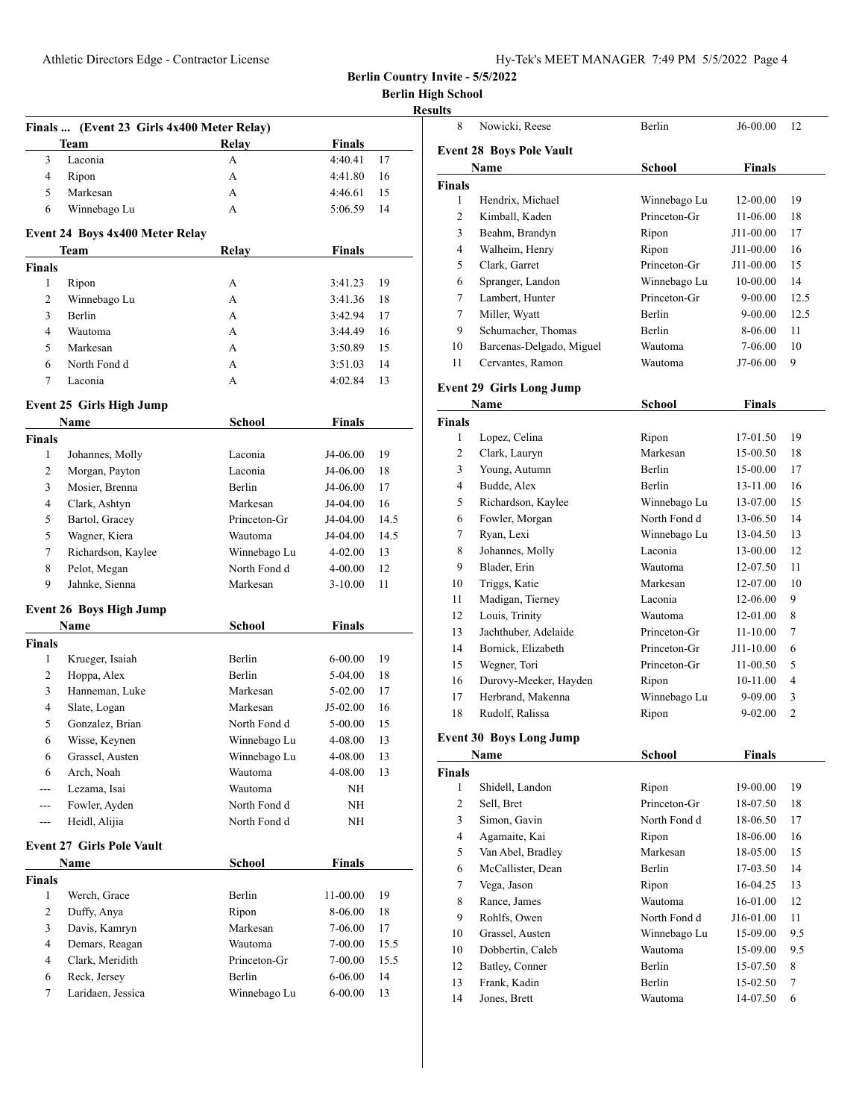| Hy-Tek's MEET MANAGER  7:49 PM  5/5/2022  Page 4 |  |  |  |
|--------------------------------------------------|--|--|--|
|--------------------------------------------------|--|--|--|

**Berlin High School**

| Results |
|---------|
|         |

|                | Finals  (Event 23 Girls 4x400 Meter Relay)<br>Team | Relay         | <b>Finals</b> |      |
|----------------|----------------------------------------------------|---------------|---------------|------|
| 3              | Laconia                                            | А             | 4:40.41       | 17   |
| $\overline{4}$ | Ripon                                              | A             | 4:41.80       | 16   |
| 5              | Markesan                                           | A             | 4:46.61       | 15   |
| 6              | Winnebago Lu                                       | A             | 5:06.59       | 14   |
|                |                                                    |               |               |      |
|                | Event 24 Boys 4x400 Meter Relay                    |               |               |      |
|                | Team                                               | <b>Relay</b>  | <b>Finals</b> |      |
| <b>Finals</b>  |                                                    |               |               |      |
| $\mathbf{1}$   | Ripon                                              | А             | 3:41.23       | 19   |
| 2              | Winnebago Lu                                       | A             | 3:41.36       | 18   |
| 3              | Berlin                                             | A             | 3:42.94       | 17   |
| $\overline{4}$ | Wautoma                                            | A             | 3:44.49       | 16   |
| 5              | Markesan                                           | A             | 3:50.89       | 15   |
| 6              | North Fond d                                       | A             | 3:51.03       | 14   |
| 7              | Laconia                                            | A             | 4:02.84       | 13   |
|                | <b>Event 25 Girls High Jump</b>                    |               |               |      |
|                | <b>Name</b>                                        | <b>School</b> | <b>Finals</b> |      |
| <b>Finals</b>  |                                                    |               |               |      |
| 1              | Johannes, Molly                                    | Laconia       | J4-06.00      | 19   |
| $\overline{c}$ | Morgan, Payton                                     | Laconia       | J4-06.00      | 18   |
| 3              | Mosier, Brenna                                     | Berlin        | J4-06.00      | 17   |
| 4              | Clark, Ashtyn                                      | Markesan      | J4-04.00      | 16   |
| 5              | Bartol, Gracey                                     | Princeton-Gr  | J4-04.00      | 14.5 |
| 5              | Wagner, Kiera                                      | Wautoma       | J4-04.00      | 14.5 |
| 7              | Richardson, Kaylee                                 | Winnebago Lu  | $4 - 02.00$   | 13   |
| 8              | Pelot, Megan                                       | North Fond d  | 4-00.00       | 12   |
| 9              | Jahnke, Sienna                                     | Markesan      | $3-10.00$     | 11   |
|                | Event 26 Boys High Jump                            |               |               |      |
|                | <b>Name</b>                                        | <b>School</b> | Finals        |      |
| <b>Finals</b>  |                                                    |               |               |      |
| 1              | Krueger, Isaiah                                    | Berlin        | 6-00.00       | 19   |
| 2              | Hoppa, Alex                                        | <b>Berlin</b> | 5-04.00       | 18   |
| 3              | Hanneman, Luke                                     | Markesan      | 5-02.00       | 17   |
| $\overline{4}$ | Slate, Logan                                       | Markesan      | J5-02.00      | 16   |
| 5              | Gonzalez, Brian                                    | North Fond d  | 5-00.00       | 15   |
| 6              | Wisse, Keynen                                      | Winnebago Lu  | 4-08.00       | 13   |
| 6              | Grassel, Austen                                    | Winnebago Lu  | 4-08.00       | 13   |
| 6              | Arch, Noah                                         | Wautoma       | 4-08.00       | 13   |
| ---            | Lezama, Isai                                       | Wautoma       | NΗ            |      |
| ---            | Fowler, Ayden                                      | North Fond d  | NH            |      |
| ---            | Heidl, Alijia                                      | North Fond d  | NΗ            |      |
|                | <b>Event 27 Girls Pole Vault</b>                   |               |               |      |
|                | Name                                               | School        | <b>Finals</b> |      |
| Finals         |                                                    |               |               |      |
| 1              | Werch, Grace                                       | Berlin        | 11-00.00      | 19   |
| 2              | Duffy, Anya                                        | Ripon         | 8-06.00       | 18   |
| 3              | Davis, Kamryn                                      | Markesan      | 7-06.00       | 17   |
| 4              | Demars, Reagan                                     | Wautoma       | 7-00.00       | 15.5 |
| 4              | Clark, Meridith                                    | Princeton-Gr  | 7-00.00       | 15.5 |
| 6              | Reck, Jersey                                       | Berlin        | 6-06.00       | 14   |
| $\tau$         | Laridaen, Jessica                                  | Winnebago Lu  | 6-00.00       | 13   |
|                |                                                    |               |               |      |

| unts           |                                 |               |               |                |
|----------------|---------------------------------|---------------|---------------|----------------|
| 8              | Nowicki, Reese                  | Berlin        | J6-00.00      | 12             |
|                | <b>Event 28 Boys Pole Vault</b> |               |               |                |
|                | Name                            | <b>School</b> | Finals        |                |
| <b>Finals</b>  |                                 |               |               |                |
| 1              | Hendrix, Michael                | Winnebago Lu  | 12-00.00      | 19             |
| $\overline{c}$ | Kimball, Kaden                  | Princeton-Gr  | 11-06.00      | 18             |
| 3              | Beahm, Brandyn                  | Ripon         | J11-00.00     | 17             |
| $\overline{4}$ | Walheim, Henry                  | Ripon         | J11-00.00     | 16             |
| 5              | Clark, Garret                   | Princeton-Gr  | J11-00.00     | 15             |
| 6              | Spranger, Landon                | Winnebago Lu  | 10-00.00      | 14             |
| 7              | Lambert, Hunter                 | Princeton-Gr  | $9 - 00.00$   | 12.5           |
| 7              | Miller, Wyatt                   | <b>Berlin</b> | $9 - 00.00$   | 12.5           |
| 9              | Schumacher, Thomas              | <b>Berlin</b> | 8-06.00       | 11             |
| 10             | Barcenas-Delgado, Miguel        | Wautoma       | 7-06.00       | 10             |
| 11             | Cervantes, Ramon                | Wautoma       | J7-06.00      | 9              |
|                | <b>Event 29 Girls Long Jump</b> |               |               |                |
|                | Name                            | <b>School</b> | <b>Finals</b> |                |
| <b>Finals</b>  |                                 |               |               |                |
| 1              | Lopez, Celina                   | Ripon         | 17-01.50      | 19             |
| 2              | Clark, Lauryn                   | Markesan      | 15-00.50      | 18             |
| 3              | Young, Autumn                   | <b>Berlin</b> | 15-00.00      | 17             |
| $\overline{4}$ | Budde, Alex                     | Berlin        | 13-11.00      | 16             |
| 5              | Richardson, Kaylee              | Winnebago Lu  | 13-07.00      | 15             |
| 6              | Fowler, Morgan                  | North Fond d  | 13-06.50      | 14             |
| 7              | Ryan, Lexi                      | Winnebago Lu  | 13-04.50      | 13             |
| 8              | Johannes, Molly                 | Laconia       | 13-00.00      | 12             |
| 9              | Blader, Erin                    | Wautoma       | 12-07.50      | 11             |
| 10             | Triggs, Katie                   | Markesan      | 12-07.00      | 10             |
| 11             | Madigan, Tierney                | Laconia       | 12-06.00      | 9              |
| 12             | Louis, Trinity                  | Wautoma       | 12-01.00      | 8              |
| 13             | Jachthuber, Adelaide            | Princeton-Gr  | 11-10.00      | 7              |
| 14             | Bornick, Elizabeth              | Princeton-Gr  | J11-10.00     | 6              |
| 15             | Wegner, Tori                    | Princeton-Gr  | 11-00.50      | 5              |
| 16             | Durovy-Meeker, Hayden           | Ripon         | 10-11.00      | 4              |
| 17             | Herbrand, Makenna               | Winnebago Lu  | 9-09.00       | 3              |
| 18             | Rudolf, Ralissa                 | Ripon         | 9-02.00       | $\overline{c}$ |
|                | <b>Event 30 Boys Long Jump</b>  |               |               |                |
|                | Name                            | <b>School</b> | <b>Finals</b> |                |
| <b>Finals</b>  |                                 |               |               |                |

|       | .                 | www          | * ******  |        |
|-------|-------------------|--------------|-----------|--------|
| inals |                   |              |           |        |
| 1     | Shidell, Landon   | Ripon        | 19-00.00  | 19     |
| 2     | Sell, Bret        | Princeton-Gr | 18-07.50  | 18     |
| 3     | Simon, Gavin      | North Fond d | 18-06.50  | 17     |
| 4     | Agamaite, Kai     | Ripon        | 18-06.00  | 16     |
| 5     | Van Abel, Bradley | Markesan     | 18-05.00  | 15     |
| 6     | McCallister, Dean | Berlin       | 17-03.50  | 14     |
| 7     | Vega, Jason       | Ripon        | 16-04.25  | 13     |
| 8     | Rance, James      | Wautoma      | 16-01.00  | 12     |
| 9     | Rohlfs, Owen      | North Fond d | J16-01.00 | 11     |
| 10    | Grassel, Austen   | Winnebago Lu | 15-09.00  | 9.5    |
| 10    | Dobbertin, Caleb  | Wautoma      | 15-09.00  | 9.5    |
| 12    | Batley, Conner    | Berlin       | 15-07.50  | 8      |
| 13    | Frank, Kadin      | Berlin       | 15-02.50  | $\tau$ |
| 14    | Jones, Brett      | Wautoma      | 14-07.50  | 6      |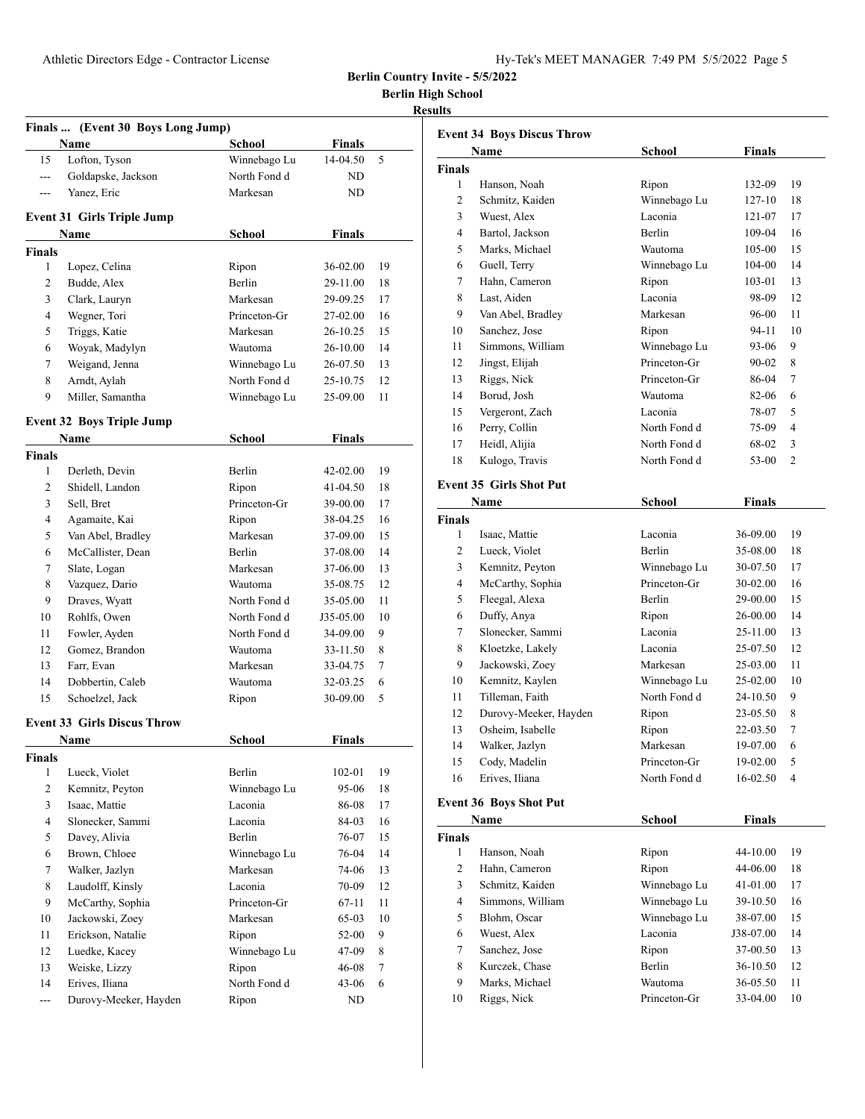| Hy-Tek's MEET MANAGER 7:49 PM 5/5/2022 Page 5 |  |  |  |
|-----------------------------------------------|--|--|--|
|-----------------------------------------------|--|--|--|

**Berlin High School**

# **Results**

| Finals  (Event 30 Boys Long Jump) |                                    |               |              |    |
|-----------------------------------|------------------------------------|---------------|--------------|----|
|                                   | Name                               | School        | Finals       |    |
| 15                                | Lofton, Tyson                      | Winnebago Lu  | 14-04.50     | 5  |
| $\overline{a}$                    | Goldapske, Jackson                 | North Fond d  | ND           |    |
| ---                               | Yanez, Eric                        | Markesan      | ND           |    |
|                                   |                                    |               |              |    |
|                                   | <b>Event 31 Girls Triple Jump</b>  |               |              |    |
|                                   | Name                               | School        | Finals       |    |
| <b>Finals</b>                     |                                    |               |              |    |
| 1                                 | Lopez, Celina                      | Ripon         | 36-02.00     | 19 |
| 2                                 | Budde, Alex                        | <b>Berlin</b> | 29-11.00     | 18 |
| 3                                 | Clark, Lauryn                      | Markesan      | 29-09.25     | 17 |
| 4                                 | Wegner, Tori                       | Princeton-Gr  | 27-02.00     | 16 |
| 5                                 | Triggs, Katie                      | Markesan      | 26-10.25     | 15 |
| 6                                 | Woyak, Madylyn                     | Wautoma       | 26-10.00     | 14 |
| 7                                 | Weigand, Jenna                     | Winnebago Lu  | 26-07.50     | 13 |
| 8                                 | Arndt, Aylah                       | North Fond d  | 25-10.75     | 12 |
| 9                                 | Miller, Samantha                   | Winnebago Lu  | 25-09.00     | 11 |
|                                   | <b>Event 32 Boys Triple Jump</b>   |               |              |    |
|                                   | Name                               | <b>School</b> | Finals       |    |
| <b>Finals</b>                     |                                    |               |              |    |
| 1                                 | Derleth, Devin                     | <b>Berlin</b> | 42-02.00     | 19 |
| 2                                 | Shidell, Landon                    | Ripon         | $41 - 04.50$ | 18 |
| 3                                 | Sell, Bret                         | Princeton-Gr  | 39-00.00     | 17 |
| 4                                 | Agamaite, Kai                      | Ripon         | 38-04.25     | 16 |
| 5                                 | Van Abel, Bradley                  | Markesan      | 37-09.00     | 15 |
| 6                                 | McCallister, Dean                  | <b>Berlin</b> | 37-08.00     | 14 |
| 7                                 | Slate, Logan                       | Markesan      | 37-06.00     | 13 |
| 8                                 | Vazquez, Dario                     | Wautoma       | 35-08.75     | 12 |
| 9                                 | Draves, Wyatt                      | North Fond d  | 35-05.00     | 11 |
| 10                                | Rohlfs, Owen                       | North Fond d  | J35-05.00    | 10 |
| 11                                | Fowler, Ayden                      | North Fond d  | 34-09.00     | 9  |
| 12                                | Gomez, Brandon                     | Wautoma       | 33-11.50     | 8  |
| 13                                | Farr, Evan                         | Markesan      | 33-04.75     | 7  |
| 14                                | Dobbertin, Caleb                   | Wautoma       | 32-03.25     | 6  |
| 15                                | Schoelzel, Jack                    | Ripon         | 30-09.00     | 5  |
|                                   | <b>Event 33 Girls Discus Throw</b> |               |              |    |
|                                   | Name                               | School        | Finals       |    |
|                                   |                                    |               |              |    |
| <b>Finals</b><br>1                | Lueck, Violet                      | Berlin        | 102-01       | 19 |
| $\overline{c}$                    | Kemnitz, Peyton                    | Winnebago Lu  | 95-06        | 18 |
| 3                                 | Isaac, Mattie                      | Laconia       | 86-08        | 17 |
| 4                                 | Slonecker, Sammi                   | Laconia       | 84-03        | 16 |
| 5                                 | Davey, Alivia                      | Berlin        | 76-07        | 15 |
| 6                                 | Brown, Chloee                      | Winnebago Lu  | 76-04        | 14 |
| 7                                 | Walker, Jazlyn                     | Markesan      | 74-06        | 13 |
| 8                                 | Laudolff, Kinsly                   | Laconia       | 70-09        | 12 |
| 9                                 | McCarthy, Sophia                   | Princeton-Gr  | $67-11$      | 11 |
| 10                                | Jackowski, Zoey                    | Markesan      | 65-03        | 10 |
| 11                                | Erickson, Natalie                  | Ripon         | 52-00        | 9  |
| 12                                | Luedke, Kacey                      | Winnebago Lu  | 47-09        | 8  |
| 13                                | Weiske, Lizzy                      | Ripon         | 46-08        | 7  |
| 14                                | Erives, Iliana                     | North Fond d  | 43-06        | 6  |
| $--$                              | Durovy-Meeker, Hayden              | Ripon         | ND           |    |

| <b>Event 34 Boys Discus Throw</b> |                                |              |           |                |  |
|-----------------------------------|--------------------------------|--------------|-----------|----------------|--|
|                                   | Name                           | School       | Finals    |                |  |
| Finals                            |                                |              |           |                |  |
| 1                                 | Hanson, Noah                   | Ripon        | 132-09    | 19             |  |
| 2                                 | Schmitz, Kaiden                | Winnebago Lu | 127-10    | 18             |  |
| 3                                 | Wuest, Alex                    | Laconia      | 121-07    | 17             |  |
| 4                                 | Bartol, Jackson                | Berlin       | 109-04    | 16             |  |
| 5                                 | Marks, Michael                 | Wautoma      | 105-00    | 15             |  |
| 6                                 | Guell, Terry                   | Winnebago Lu | 104-00    | 14             |  |
| 7                                 | Hahn, Cameron                  | Ripon        | 103-01    | 13             |  |
| 8                                 | Last, Aiden                    | Laconia      | 98-09     | 12             |  |
| 9                                 | Van Abel, Bradley              | Markesan     | 96-00     | 11             |  |
| 10                                | Sanchez, Jose                  | Ripon        | 94-11     | 10             |  |
| 11                                | Simmons, William               | Winnebago Lu | 93-06     | 9              |  |
| 12                                | Jingst, Elijah                 | Princeton-Gr | 90-02     | 8              |  |
| 13                                | Riggs, Nick                    | Princeton-Gr | 86-04     | 7              |  |
| 14                                | Borud, Josh                    | Wautoma      | 82-06     | 6              |  |
| 15                                | Vergeront, Zach                | Laconia      | 78-07     | 5              |  |
| 16                                | Perry, Collin                  | North Fond d | 75-09     | $\overline{4}$ |  |
| 17                                | Heidl, Alijia                  | North Fond d | 68-02     | 3              |  |
| 18                                | Kulogo, Travis                 | North Fond d | 53-00     | $\overline{c}$ |  |
|                                   |                                |              |           |                |  |
|                                   | <b>Event 35 Girls Shot Put</b> |              |           |                |  |
|                                   | Name                           | School       | Finals    |                |  |
| <b>Finals</b>                     |                                |              |           |                |  |
| 1                                 | Isaac, Mattie                  | Laconia      | 36-09.00  | 19             |  |
| 2                                 | Lueck, Violet                  | Berlin       | 35-08.00  | 18             |  |
| 3                                 | Kemnitz, Peyton                | Winnebago Lu | 30-07.50  | 17             |  |
| 4                                 | McCarthy, Sophia               | Princeton-Gr | 30-02.00  | 16             |  |
| 5                                 | Fleegal, Alexa                 | Berlin       | 29-00.00  | 15             |  |
| 6                                 | Duffy, Anya                    | Ripon        | 26-00.00  | 14             |  |
| 7                                 | Slonecker, Sammi               | Laconia      | 25-11.00  | 13             |  |
| 8                                 | Kloetzke, Lakely               | Laconia      | 25-07.50  | 12             |  |
| 9                                 | Jackowski, Zoey                | Markesan     | 25-03.00  | 11             |  |
| 10                                | Kemnitz, Kaylen                | Winnebago Lu | 25-02.00  | 10             |  |
| 11                                | Tilleman, Faith                | North Fond d | 24-10.50  | 9              |  |
| 12                                | Durovy-Meeker, Hayden          | Ripon        | 23-05.50  | 8              |  |
| 13                                | Osheim, Isabelle               | Ripon        | 22-03.50  | 7              |  |
| 14                                | Walker, Jazlyn                 | Markesan     | 19-07.00  | 6              |  |
| 15                                | Cody, Madelin                  | Princeton-Gr | 19-02.00  | 5              |  |
| 16                                | Erives, Iliana                 | North Fond d | 16-02.50  | 4              |  |
|                                   | <b>Event 36 Boys Shot Put</b>  |              |           |                |  |
|                                   | Name                           | School       | Finals    |                |  |
| <b>Finals</b>                     |                                |              |           |                |  |
| 1                                 | Hanson, Noah                   | Ripon        | 44-10.00  | 19             |  |
| 2                                 | Hahn, Cameron                  | Ripon        | 44-06.00  | 18             |  |
| 3                                 | Schmitz, Kaiden                | Winnebago Lu | 41-01.00  | 17             |  |
| 4                                 | Simmons, William               | Winnebago Lu | 39-10.50  | 16             |  |
| 5                                 | Blohm, Oscar                   | Winnebago Lu | 38-07.00  | 15             |  |
| 6                                 | Wuest, Alex                    | Laconia      | J38-07.00 | 14             |  |
| 7                                 | Sanchez, Jose                  | Ripon        | 37-00.50  | 13             |  |
| 8                                 | Kurczek, Chase                 | Berlin       | 36-10.50  | 12             |  |
| 9                                 | Marks, Michael                 | Wautoma      | 36-05.50  | 11             |  |
| 10                                | Riggs, Nick                    | Princeton-Gr | 33-04.00  | 10             |  |
|                                   |                                |              |           |                |  |